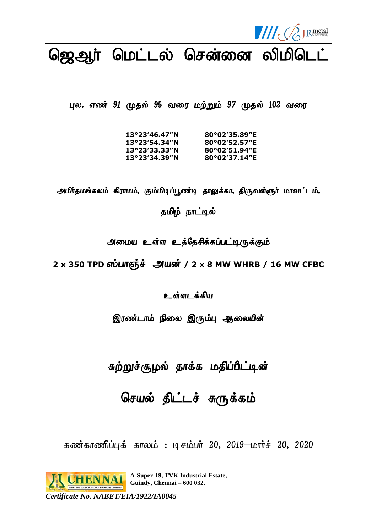

# ஜெஆா் மெட்டல் சென்னை லிமிடெட்

புல. எண் 91 முதல் 95 வரை மற்றும் 97 முதல் 103 வரை

| 80°02′35.89″E |
|---------------|
| 80°02′52.57″E |
| 80°02′51.94″E |
| 80°02′37.14″E |
|               |

அமிர்தமங்கலம் கிராமம், கும்மிடிப்பூண்டி தாலுக்கா, திருவள்ளூர் மாவட்டம், தமிழ் நாட்டில்

அமைய உள்ள உத்தேசிக்கப்பட்டிருக்கும்

2 x 350 TPD ஸ்பாஞ்ச் அயன் / 2 x 8 MW WHRB / 16 MW CFBC

உள்ளடக்கிய

இரண்டாம் நிலை இரும்பு ஆலையின்

சுற்றுச்சூழல் தாக்க மதிப்பீட்டின்

செயல் திட்டச் சுருக்கம்

கண்காணிப்புக் காலம் : டிசம்பர் 20, 2019—மார்ச் 20, 2020

**A-Super-19, TVK Industrial Estate, Guindy, Chennai – 600 032.**

*Certificate No. NABET/EIA/1922/IA0045*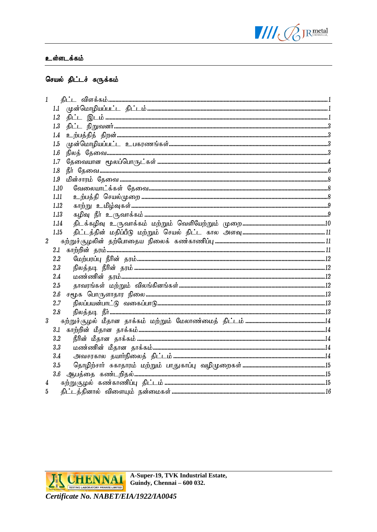

#### உள்ளடக்கம்

# செயல் திட்டச் சுருக்கம்

| 1                |                                          |  |
|------------------|------------------------------------------|--|
|                  | 1.1                                      |  |
|                  | 1.2                                      |  |
|                  | 1.3                                      |  |
|                  | 1.4                                      |  |
|                  | 1.5                                      |  |
|                  | 1.6                                      |  |
|                  | 1.7                                      |  |
|                  | ௹௱ஂஂ௸௸ <i>௷௷௷௷௷௷௷௷௷௷௷௷௷௷௷௷௷௷௷</i><br>1.8 |  |
|                  | 1.9                                      |  |
|                  | 1.10                                     |  |
|                  | 1.11                                     |  |
|                  | 1.12                                     |  |
|                  | 1.13                                     |  |
|                  | 1.14                                     |  |
|                  | 1.15                                     |  |
| $\overline{2}$   |                                          |  |
|                  | 2.1                                      |  |
|                  | 2.2                                      |  |
|                  | 2.3                                      |  |
|                  | 2.4                                      |  |
|                  | 2.5                                      |  |
|                  | 2.6                                      |  |
|                  | 2.7                                      |  |
|                  | 2.8                                      |  |
| $\boldsymbol{3}$ |                                          |  |
|                  | 3.1                                      |  |
|                  | 3.2                                      |  |
|                  | 3.3                                      |  |
|                  | 3.4                                      |  |
|                  | 3.5                                      |  |
|                  | 3.6                                      |  |
| 4                |                                          |  |
| 5                |                                          |  |

**H CHENNAI** TESTING LABORATORY PRIVATE LIMITED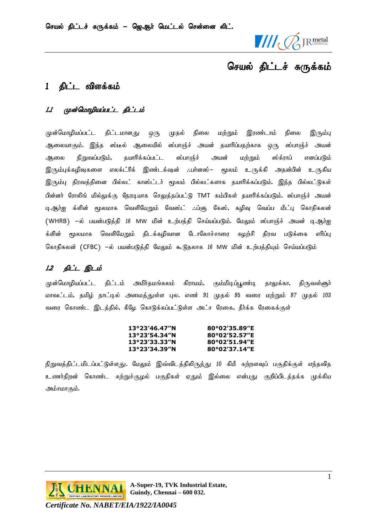

# <span id="page-2-0"></span>1 கிட்ட விளக்கம்

# <span id="page-2-1"></span>1.1 முன்மொழியப்பட்ட கிட்டம்

முன்மொழியப்பட்ட திட்டமானது ஒரு முதல் நிலை மற்றும் இரண்டாம் நிலை இரும்பு ஆலையாகும். இந்த ஸ்டீல் ஆலையில் ஸ்பாஞ்ச் அயன் தயாரிப்பதற்காக ஒரு ஸ்பாஞ்ச் அயன் ஆலை நிறுவப்படும், கயாரிக்கப்பட்ட ஸ்பாஞ்ச் அயன் மற்றும் ஸ்க்ராப் எனப்படும் இரும்புக்கழிவுகளை எலக்ட்ரிக் இண்டக்ஷன் ..பர்னஸ்– மூலம் உருக்கி அதன்பின் உருகிய இரும்பு திரவத்தினை பில்லட் காஸ்ட்டர் மூலம் பில்லட்களாக தயாரிக்கப்படும். இந்த பில்லட்டுகள் பின்னர் ரோலிங் மில்லுக்கு நேரடியாக செலுத்தப்பட்டு TMT கம்பிகள் தயாரிக்கப்படும். ஸ்பாஞ்ச் அயன் டிஆர்ஐ க்ளின் மூலமாக வெளியேறும் வேஸ்ட் .**.ப்**ளு கேஸ், கழிவு வெப்ப மீட்பு கொதிகலன் (WHRB) -ல் பயன்படுத்தி 16 MW மின் உற்பத்தி செய்யப்படும். மேலும் ஸ்பாஞ்ச் அயன் டிஆர்ஐ க்ளின் மூலமாக வெளியேறும் திடக்கழிவான டோலோச்சாரை சுழற்சி திரவ படுக்கை எரி<mark>ப்</mark>பு கொதிகலன் (CFBC) –ல் பயன்படுத்தி மேலும் கூடுதலாக 16 MW மின் உற்பத்தியும் செய்யப்படும்

# <span id="page-2-2"></span>12 திட்ட இடம்

முன்மொழியப்பட்ட திட்டம் அமிர்தமங்கலம் கிராமம், கும்மிடிப்பூண்டி தாலுக்கா, திருவள்ளூர் மாவட்டம், தமிழ் நாட்டில் அமைத்துள்ள புல. எண் 91 முதல் 95 வரை மற்றும் 97 முதல் 103 வரை கொண்ட இடத்தில், கீழே கொடுக்கப்பட்டுள்ள அட்ச ரேகை, தீர்க்க ரேகைக்குள்

| $13^{\circ}23'46.47''N$  | 80°02′35.89″E |
|--------------------------|---------------|
| $13^{\circ}23'54.34''N$  | 80°02′52.57″E |
| 13°23′33.33″N            | 80°02′51.94″E |
| $13^{\circ}23'34.39''$ N | 80°02′37.14″E |

நிறுவத்திட்டமிடப்பட்டுள்ளது. மேலும் இவ்விடத்திலிருந்து 10 கிமீ சுற்றளவுப் பகுதிக்குள் எந்தவித உணர்திறன் கொண்ட சுற்றுச்சூழல் பகுதிகள் ஏதும் இல்லை என்பது குறிப்பிடத்தக்க முக்கிய அம்சமாகும்.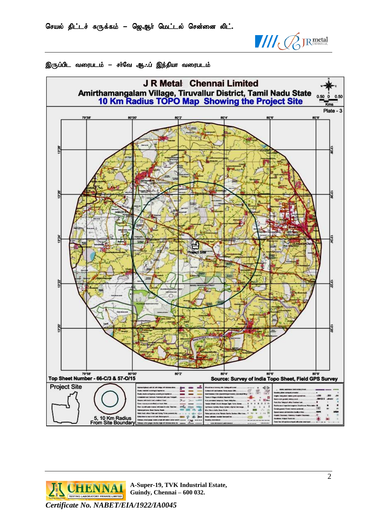





**FLORIDA A-Super-19, TVK Industrial Estate, Guindy, Chennai – 600 032.**

*Certificate No. NABET/EIA/1922/IA0045*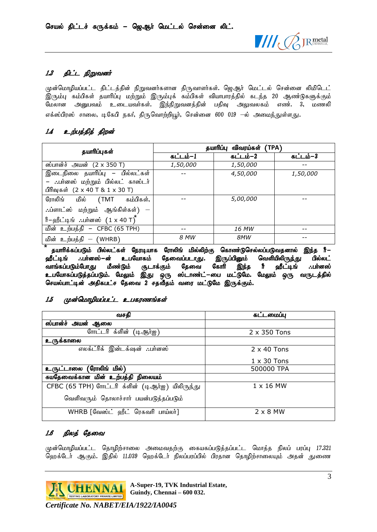

# <span id="page-4-0"></span>1.3 திட்ட நிறுவனர்

முன்மொழியப்பட்ட திட்டத்தின் நிறுவனர்களான திருவாளர்கள். ஜெஆர் மெட்டல் சென்னை லிமிடெட் இரும்பு கம்பிகள் தயாரிப்பு மற்றும் இரும்புக் கம்பிகள் வியாபாரத்தில் கடந்த 20 ஆண்டுகளுக்கும் மேலான அனுபவம் உடையவர்கள். இந்நிறுவனத்தின் பதிவு அலுவலகம் எண். 3, மணலி எக்ஸ்பிரஸ் சாலை, டிகேபி நகர், திருவொற்றியூர், சென்னை 600 019 –ல் அமைந்துள்ளது.

# <span id="page-4-1"></span>1.4 உற்பத்தித் திறன்

| தயாரிப்புகள்                                                          | விவரய்கள்<br>(TPA)<br>தயாரிப்பு |          |          |
|-----------------------------------------------------------------------|---------------------------------|----------|----------|
|                                                                       | கட்டம்–1                        | கட்டம்–2 | கட்டம்–3 |
| ஸ்பான்ச் அயன் (2 x 350 T)                                             | 1,50,000                        | 1,50,000 |          |
| இடைநிலை தயாரிப்பு – பில்லட்கள்                                        |                                 | 4,50,000 | 1,50,000 |
| – பா்னஸ் மற்றும் பில்லட் காஸ்டா்                                      |                                 |          |          |
| பிரிவுகள் $(2 \times 40 \text{ T } 8 \text{ 1 } \times 30 \text{ T})$ |                                 |          |          |
| ரோலிங் மில் (TMT கம்பிகள்,                                            |                                 | 5,00,000 |          |
| $\therefore$ ப்ளாட்ஸ் மற்றும் ஆங்கிள்கள்) —                           |                                 |          |          |
| ீர–ஹீட்டிங் ∴பா்னஸ் $(1 \times 40 \text{ T})$                         |                                 |          |          |
| மின் உற்பத்தி – CFBC (65 TPH)                                         |                                 | 16 MW    |          |
| மின் உற்பத்தி — (WHRB)                                                | 8 MW                            | 8MW      |          |

தயாரிக்கப்படும் பில்லட்கள் நேரடியாக ரோலிங் மில்லிற்கு கொண<mark>்</mark>டுசெல்லப்படுவதனால் இந்த ரீ—<br>**ரீட்டிங் ∴பர்னஸ்—ன் உபயோகம் தேவைப்படாது.** இருப்பினும் வெளியிலிரு<u>ந்</u>து பில்லட் ஹீட்டிங் .:பா்னஸ்—ன் உபயோகம் தேவைப்படாது. இருப்பினும் வெளியிலிருந்து பில்லட்<br>வாங்கப்படும்போது மீண்டும் சூடாக்கும் தேவை கோரி இந்த ரீ ஹீட்டிங் .:பா்னஸ் வாங்கப்படும்போது மீண்டும் சூடாக்கும் தேவை கோரி இந்த ரீ உபயோகப்படுத்தப்படும். மேலும் இது ஒரு ஸ்டாண்ட்−பை மட்டுமே. மேலும் ஒரு வருடத்தில் செயல்பாட்டின் அதிகபட்ச தேவை 2 சதவீதம் வரை மட்டுமே இருக்கும்.

# <span id="page-4-2"></span>1.5 முன்மொழியப்பட்ட உபகரணங்கள்

| வசகி                                             | கட்டமைப்பு          |
|--------------------------------------------------|---------------------|
| ஸ்பான்ச் அயன் ஆலை                                |                     |
| <u>ோரட்டரி க்ளி</u> ன் (டிஆர்ஐ)                  | $2 \times 350$ Tons |
| உருக்காலை                                        |                     |
| எலக்ட்ரிக் இன்டக்ஷன் ∴பர்னஸ்                     | $2 \times 40$ Tons  |
|                                                  | $1 \times 30$ Tons  |
| ′ரோலிங் மில்)<br>உருட்டாலை                       | 500000 TPA          |
| சுயதேவைக்கான மின் உற்பத்தி நிலையம்               |                     |
| CFBC (65 TPH) ளோட்டரி க்ளின் (டிஆர்ஐ) யிலிருந்து | $1 \times 16$ MW    |
| வெளிவரும் தொலாச்சார் பயன்படுத்தப்படும்           |                     |
| WHRB [வேஸ்ட் ஹீட் ரெகவரி பாய்லர்]                | $2 \times 8$ MW     |

# <span id="page-4-3"></span>1.6 நிலத் தேவை

முன்மொழியப்பட்ட தொழிற்சாலை அமைவதற்கு கையகப்படுத்தப்பட்ட மொத்த நிலப் பரப்பு 17.321 ஹெக்டேர் ஆகும். இதில் 11.039 ஹெக்டேர் நிலப்பரப்பில் பிரதான தொழிற்சாலையும் அதன் துணை

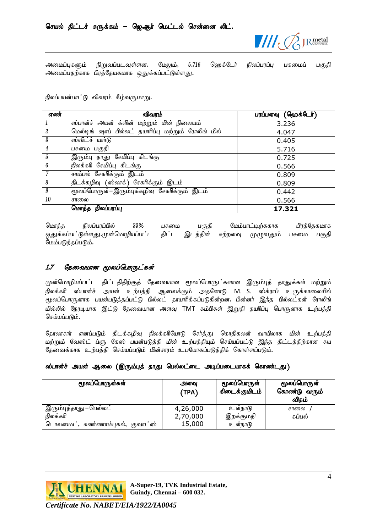

அமைப்புகளும் நிறுவப்படவுள்ளன. மேலும், 5.716 ஹெக்டேர் நிலப்பரப்பு பசுமைப் பகுதி அமைப்பதற்காக பிரத்தேயகமாக <u>ஒத</u>ுக்கப்பட்டுள்ளது**.** 

நிலப்பயன்பாட்டு விவரம் கீழ்வருமாறு.

| எண்                     | விவரம்                                              | பரப்பளவு (ஹெக்டேர்) |
|-------------------------|-----------------------------------------------------|---------------------|
| 1                       | ஸ்பான்ச் அயன் க்ளின் மற்றும் மின் நிலையம்           | 3.236               |
| $\overline{2}$          | மெல்டிங் ஷாப் பில்லட் தயாரிப்பு மற்றும் ரோலிங் மில் | 4.047               |
| $\overline{\mathbf{3}}$ | ஸ்விட்ச் யார்டு                                     | 0.405               |
| $\overline{4}$          | பசுமை பகுதி                                         | 5.716               |
| $5\overline{5}$         | இரும்பு தாது <b>சேமிப்பு கிடங்கு</b>                | 0.725               |
| $\boldsymbol{6}$        | நிலக்கரி சேமிப்பு கிடங்கு                           | 0.566               |
| $\overline{7}$          | <u>சாம்பல் சேகரிக்கும் இடம்</u>                     | 0.809               |
| 8                       | திடக்கழிவு (ஸ்லாக்) சேகரிக்கும் இடம்                | 0.809               |
| $\overline{9}$          | மூலப்பொருள்–இரும்புக்கழிவு சேகரிக்கும் இடம்         | 0.442               |
| 10                      | சாலை                                                | 0.566               |
|                         | மொத்த நிலப்பரப்பு                                   | 17.321              |

மொத்த நிலப்பரப்பில் 33% பசுமை பகுதி மேம்பாட்டிற்ககாக பிரத்தேகமாக ஒதுக்கப்பட்டுள்ளது.முன்மொழியப்பட்ட திட்ட இடத்தின் சுற்றளவு முழுவதும் பசுமை பகுதி மேம்படுத்தப்படும்.

#### <span id="page-5-0"></span>1.7 குவையான மூலப்பொருட்கள்

முன்மொழியப்பட்ட திட்டதிதிற்குத் தேவையான மூலப்பொருட்களான இரும்புத் தாதுக்கள் மற்றும் நிலக்கரி ஸ்பான்ச் அயன் உற்பத்தி ஆலைக்கும் அதனோடு M. S. ஸ்க்ராப் உருக்காலையில் மூலப்பொருளாக பயன்படுத்தப்பட்டு பில்லட் தாயாரிக்கப்படுகின்றன. பின்னர் இந்த பில்லட்கள் ரோலிங் மில்லில் நேரடியாக இட்டு தேவையான அளவு TMT கம்பிகள் இறுதி தயரிப்பு பொருளாக உற்பத்தி செய்யப்படும்.

தோலாசார் எனப்படும் திடக்கழிவு நிலக்கரியோடு சேர்த்து கொதிகலன் வாயிலாக மின் உற்பத்தி மற்றும் வேஸ்ட் ப்ளு கேஸ் பயன்படுத்தி மின் உற்பத்தியும் செய்யப்பட்டு இந்த திட்டத்திற்கான சுய தேவைக்காக உற்பத்தி செய்யப்படும் மின்சாரம் உபயோகப்படுத்திக் கொள்ளப்படும்.

#### ஸ்பான்ச் அயன் ஆலை (இரும்புத் தாது பெல்லட்டை அடிப்படையாகக் கொண்டது)

| மூலப்பொருள்கள்                      | அளவு<br>(TPA) | மூலப்பொருள்<br>கிடைக்குமிடம் | மூலப்பொருள்<br>கொண்டு வரும்<br>விதம் |
|-------------------------------------|---------------|------------------------------|--------------------------------------|
| இரும்புத்தாது−பெல்லட்               | 4,26,000      | உள்நாடு                      | சாலை                                 |
| நிலக்கரி                            | 2,70,000      | இறக்குமதி                    | கப்பல்                               |
| குவாட்ஸ்<br>டொலமைட், சுண்ணாம்புகல், | 15,000        | உள்நாடு                      |                                      |

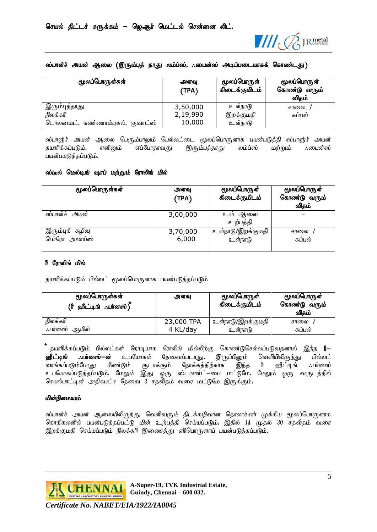

#### ஸ்பான்ச் அயன் ஆலை (இரும்புத் தாது லம்ப்ஸ், ..பைன்ஸ் அடிப்படையாகக் கொண்டது)

| மூலப்பொருள்கள்                   | அளவு<br>(TPA) | மூலப்பொருள்<br>கிடைக்குமிடம் | மூலப்பொருள்<br>கொண்டு வரும்<br>விதம் |
|----------------------------------|---------------|------------------------------|--------------------------------------|
| இரும்புத்தாது                    | 3,50,000      | உள்நாடு                      | சாலை                                 |
| நிலக்கரி                         | 2,19,990      | இறக்குமதி                    | கப்பல்                               |
| டொலமைட், சுண்ணாம்புகல், குவாட்ஸ் | 10,000        | உள்நாடு                      |                                      |

ஸ்பாஞ்ச் அயன் ஆலை பெரும்பாலும் பெல்லட்டை மூலப்பொருளாக பயன்படுத்தி ஸ்பாஞ்ச் அயன்<br>தயாரிக்கப்படும். எனினும் எப்போதாவது இரும்பத்தாது லம்ப்ஸ் மற்றும் ∴பைன்ஸ் எப்போதாவது இரும்பத்தாது லம்ப்ஸ் மற்றும் :மைன்ஸ் பயன்பயடுத்தப்படும்.

#### ஸ்டீல் மெல்டிங் ஷாப் மற்றும் ரோலிங் மில்

| மூலப்பொருள்கள்                    | அளவு<br>(TPA)     | மூலப்பொருள்<br>கிடைக்குமிடம் | மூலப்பொருள்<br>கொண்டு வரும்<br>விதம் |
|-----------------------------------|-------------------|------------------------------|--------------------------------------|
| ஸ்பான்ச் அயன்                     | 3,00,000          | உள் ஆலை<br>உற்பத்தி          |                                      |
| இரும்புக் கழிவு<br>பெர்ரோ அலாய்ஸ் | 3,70,000<br>6,000 | உள்நாடு/இறக்குமதி<br>உள்நாடு | சாலை<br>கப்பல்                       |

#### ரீ ரோலிங் மில்

தயாரிக்கப்படும் பில்லட் மூலப்பொருளாக பயன்படுத்தப்படும்

| மூலப்பொருள்கள்<br>(ரீ ஹீட்டிங் பர்னஸ்) ` | அளவு                   | மூலப்பொருள்<br>கிடைக்குமிடம் | மூலப்பொருள்<br>கொண்டு வரும்<br>விகம் |
|------------------------------------------|------------------------|------------------------------|--------------------------------------|
| நிலக்கரி<br>∴பா்னஸ்<br>ஆயில்             | 23,000 TPA<br>4 KL/day | உள்நாடு/இறக்குமதி<br>உள்நாடு | சாலை<br>கப்பல்                       |

ैं தயாரிக்கப்படும் பில்லட்கள் நேரடியாக ரோலிங் மில்லிற்கு கொண்டுசெல்லப்படுவதனால் இந்த **ரீ−**<br>**ஹீட்டிங் ∴பர்னஸ்−ன்** உபயோகம் தேவைப்படாது. இருப்பினும் வெளியிலிருந்து பில்லட் ்தேவைப்படாது**.** இருப்பினும் வெளியிலிருந்து பில்லட்<br>கும் நோக்கத்திற்காக இந்த ரீ ஹீட்டிங் *:*.பா்னஸ் ்வாங்கப்படும்போது மீண்டும் சூடாக்கும் நோக்கத்திற்காக இந்த ரீ ஹீட்டிங் ..பானஸ் உபயோகப்படுத்தப்படும். மேலும் இது ஒரு ஸ்டாண்ட்−பை மட்டுமே. மேலும் ஒரு வருடத்தில் செயல்பாட்டின் அதிகபட்ச தேவை 2 சதவீதம் வரை மட்டுமே இருக்கும்.

#### மின்நிலையம்

ஸ்பான்ச் அயன் ஆலையிலிருந்து வெளிவரும் திடக்கழிவான தொலாச்சார் முக்கிய மூலப்பொருளாக கொதிகலனில் பயன்படுத்தப்பட்டு மின் உற்பத்தி செய்யப்படும், இதில் 14 முதல் 30 சதவீதம் வரை இறக்குமதி செய்யப்படும் நிலக்கரி இணைத்து எரிபொருளாய் பயன்படுத்தப்படும்.

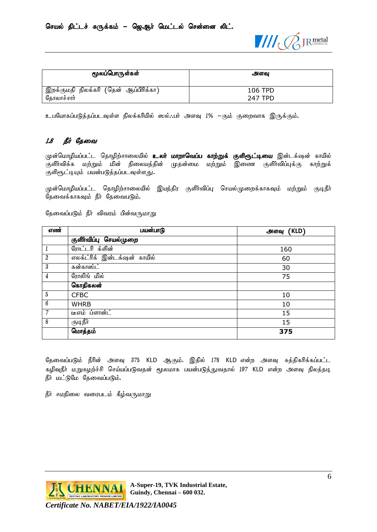

| மூலப்பொருள்கள்                                   | அளவ            |
|--------------------------------------------------|----------------|
| ' இறக்குமதி நிலக்கரி (தென் ஆ <b>ப்</b> பிரிக்கா) | 106 TPD        |
| தோலாச்சார்                                       | <b>247 TPD</b> |

உபயோகப்படுத்தப்படவுள்ள நிலக்கரியில் ஸல்..பர் அளவு 1% –கும் குறைவாக இருக்கும்.

# <span id="page-7-0"></span>1.8 நீர் தேவை

முன்மொழியப்பட்ட தொழிற்சாலையில் **உலா் மாறாவெப்ப காற்றுக் குளிரூட்டியை** இன்டக்ஷன் காயில் குளிர்விக்க மற்றும் மின் நிலையத்தின் முதன்மை மற்றும் இணை குளிர்விப்புக்கு காற்றுக் குளிரூட்டியும் பயன்படுத்தப்படவுள்ளது.

முன்மொழியப்பட்ட தொழிற்சாலையில் இயந்திர குளிர்விப்பு செயல்முறைக்காகவும் மற்றும் குடிநீர் தேவைக்காகவும் நீர் தேவைபடும்.

தேவைப்படும் நீர் விவரம் பின்வருமாறு

| எண்              | பயன்பாடு                    | (KLD)<br>அளவு |
|------------------|-----------------------------|---------------|
|                  | குளிர்விப்பு செயல்முறை      |               |
| 1                | ரோட்டரி க்ளின்              | 160           |
| $\boldsymbol{2}$ | எலக்ட்ரிக் இன்டக்ஷன் காயில் | 60            |
| 3                | கன்காஸ்ட்                   | 30            |
| 4                | ரோலிங் மில்                 | 75            |
|                  | கொதிகலன்                    |               |
| $\bf 5$          | <b>CFBC</b>                 | 10            |
| $\it 6$          | <b>WHRB</b>                 | 10            |
| $\overline{7}$   | <u>டீஎம் ப்ளான்ட்</u>       | 15            |
| 8                | குடிநீர்                    | 15            |
|                  | மொத்தம்                     | 375           |

தேவைப்படும் நீரின் அளவு 375 KLD ஆகும். இதில் 178 KLD என்ற அளவு சுத்திகரிக்கப்பட்ட கழிவுநீர் மறுசுழற்ச்சி செய்யப்படுவதன் மூலமாக பயன்படுத்துவதால் 197 KLD என்ற அளவு நிலத்தடி நீர் மட்டுமே தேவைப்படும்.

நீர் சமநிலை வரைபடம் கீழ்வருமாறு

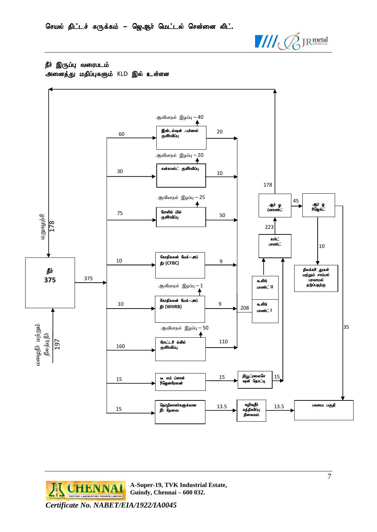

நீா் இருப்பு வரைபடம் அனைத்து மதிப்புகளும் KLD இல் உள்ளன



**EL CHENNAL** RIVATE LIMITED *Certificate No. NABET/EIA/1922/IA0045*

**A-Super-19, TVK Industrial Estate, Guindy, Chennai – 600 032.**

7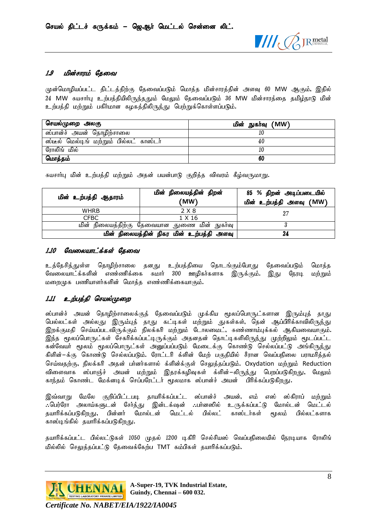

#### <span id="page-9-0"></span>1.9 மின்சாரம் கேவை

முன்மொழியப்பட்ட திட்டத்திற்கு தேவைப்படும் மொத்த மின்சாரத்தின் அளவு 60 MW ஆகும், இதில் 24 MW சுயசார்பு உற்பத்தியிலிருந்ததும் மேலும் தேவைப்படும் 36 MW மின்சாரத்தை தமிழ்நாடு மின் உற்பத்தி மற்றும் பகிர்மான கழகத்திலிருந்து பெற்றுக்கொள்ளப்படும்.

| செயல்முறை அலகு                          | மின் நுகர்வு (MW) |  |
|-----------------------------------------|-------------------|--|
| ஸ்பான்ச் அயன் தொழிற்சாலை                |                   |  |
| ஸ்டீல் மெல்டிங் மற்றும் பில்லட் காஸ்டர் | 40                |  |
| ரோலிங் மில்                             | ΙU                |  |
| மொத்தம்                                 | 60                |  |

சுயசார்பு மின் உற்பத்தி மற்றும் அதன் பயன்பாடு குறித்த விவரம் கீழ்வருமாறு**.** 

| மின் உற்பத்தி ஆதாரம் | மின் நிலையத்தின் திறன்<br>'MW)               | 85 % திறன் அடிப்படையில்<br>மின் உற்பத்தி அளவு (MW) |
|----------------------|----------------------------------------------|----------------------------------------------------|
| <b>WHRB</b>          | 2 X 8                                        | 27                                                 |
| <b>CFBC</b>          | 1 X 16                                       |                                                    |
|                      | மின் நிலையத்திற்கு தேவையான துணை மின் நுகர்வு |                                                    |
|                      | மின் நிலையத்தின் நிகர மின் உற்பத்தி அளவு     | 24                                                 |

#### <span id="page-9-1"></span>1.10 வேலையாட்க்கள் தேவை

உத்தேசித்துள்ள தொழிற்சாலை தனது உற்பத்தியை தொடங்கும்போது தேவைப்படும் மொத்த வேலையாட்க்களின் எண்ணிக்கை சுமார் 300 ஊழிகர்களாக இருக்கும். <u>இது</u> நேரடி மற்றும்  $\mu$ றை $(\mu$ க பணியாளர்களின் மொத்த எண்ணிக்கையாகும்.

# <span id="page-9-2"></span>1.11 உற்பத்தி செயல்முறை

ஸ்பான்ச் அயன் தொழிற்சாலைக்குத் தேவைப்படும் முக்கிய மூலப்பொருட்களான இரும்புத் தாது பெல்லட்கள் அல்லது இரும்புத் தாது கட்டிகள் மற்றும் துகள்கள், தென் ஆப்பிரிக்காவிலிரு<u>ந்</u>து ,<br>இறக்குமதி செய்யப்படவிருக்கும் நிலக்கரி மற்றும் டோலமைட், சுண்ணாம்புக்கல் ஆகியவையாகும். இந்த மூலப்பொருட்கள் சேகரிக்கப்பட்டிருக்கும் அதனதன் தொட்டிகளிலிருந்து முற்றிலும் மூடப்பட்ட கன்வேயர் மூலம் மூலப்பொருட்கள் அனுப்பப்படும் மேடைக்கு கொண்டு செல்லப்பட்டு அங்கிருந்து கிளின்–க்கு கொண்டு செல்லப்படும். ரோட்டரி க்ளின் மேற் பகுதியில் சீரான வெப்பநிலை பராமரித்தல் செய்வதற்கு, நிலக்கரி அதன் பர்னர்களால் க்ளின்க்குள் செலுத்தப்படும். Oxydation மற்றும் Reduction விளைவாக ஸ்பாஞ்ச் அயன் மற்றும் இதரக்கழிவுகள் க்ளின்–லிருந்து பெறப்படுகிறது, மேலும் காந்தம் கொண்ட மேக்னடிக் செப்பரேட்டர் மூலமாக ஸ்பான்ச் அயன் பிரிக்கப்படுகிறது.

இவ்வாறு மேலே குறிப்பிட்டபடி தாயரிக்கப்பட்ட ஸ்பான்ச் அயன், எம் எஸ் ஸ்கிராப் மற்றும் ....<br>....<br>வர்ரோ அலாய்களுடன் சேர்த்து இன்டக்ஷன் ..பர்னஸில் உருக்கப்பட்டு மோல்டன் மெட்டல் தயாரிக்கப்படுகிறது, பின்னர் மோல்டன் மெட்டல் பில்லட் காஸ்டர்கள் மூலம் பில்லட்களாக காஸ்டிங்கில் தயாரிக்கப்படுகி<u>றது</u>.

தயாரிக்கப்பட்ட பில்லட்டுகள் 1050 முதல் 1200 டிகிரி செல்சியஸ் வெப்பநிலையில் நேரடியாக ரோலிங் மில்லில் செலுக்கப்பட்டு கேவைக்கேற்ப TMT கம்பிகள் கயாரிக்கப்படும்.



**A-Super-19, TVK Industrial Estate, Guindy, Chennai – 600 032.**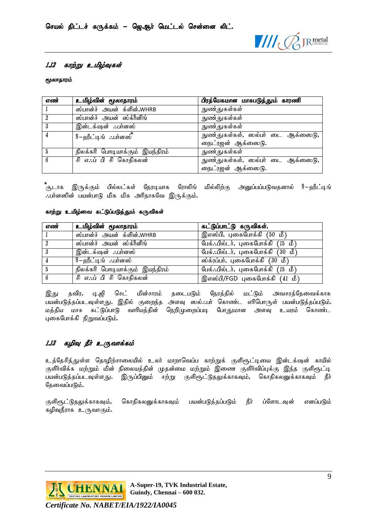

#### <span id="page-10-0"></span>1.12 காற்று உமிழ்வுகள்

#### மூலாதாரம்

| எண்            | உமிழ்வின் மூலாதாரம்             | பிரத்யேகமான மாசுபடுத்தும் காரணி  |
|----------------|---------------------------------|----------------------------------|
|                | ஸ்பான்ச் அயன் க்ளின்,WHRB       | நுண்துகள்கள்                     |
| $\overline{2}$ | ஸ்பான்ச் அயன் ஸ்க்ரீனிங்        | நுண்துகள்கள்                     |
|                | இன்டக்ஷன் ∴பர்னஸ்               | நுண்துகள்கள்                     |
| 4              | ரீ−ஹீட்டிங்் <b>∴பர்</b> னஸ்    | நுண்துகள்கள், ஸல்பர் டை ஆக்ஸைடு, |
|                |                                 | நைட்ரஜன் ஆக்ஸைடு.                |
| -5             | நிலக்கரி பொடியாக்கும் இயந்திரம் | நுண்துகள்கள்                     |
| 6              | சி எ.:ப் பி சி கொதிகலன்         | நுண்துகள்கள், ஸல்பர் டை ஆக்ஸைடு, |
|                |                                 | நைட்ரஜன் ஆக்ஸைடு.                |

<sup>ீ</sup>சூடாக இருக்கும் பில்லட்கள் நேரடியாக ரோலிங் மில்லிற்கு அனுப்பப்படுவதனால் rீ−ஹீட்டிங் ..பர்னஸின் பயன்பாடு மிக மிக அரிதாகவே இருக்கும்.

#### காற்று உமிழ்வை கட்டுப்படுத்தும் கருவிகள்

| எண்            | உமிழ்வின் மூலாதாரம்             | கட்டுப்பாட்டு கருவிகள்.                  |
|----------------|---------------------------------|------------------------------------------|
|                | ஸ்பான்ச் அயன் க்ளின்,WHRB       | இஎஸ்பி, புகைபோக்கி $\overline{(50\;10)}$ |
| $\overline{2}$ | ஸ்பான்ச் அயன் ஸ்க்ரீனிங்        | பேக். பில்டர், புகைபோக்கி (15 மீ)        |
| -3             | இன்டக்ஷன் ∴பர்னஸ்               | பேக். பில்டர், புகைபோக்கி (30 மீ)        |
| 4              | ரீ−ஹீட்டிங்் ∴பர்னஸ்            | ஸ்க்ரப்பர், புகைபோக்கி $(30 \t{b})$      |
| 5              | நிலக்கரி பொடியாக்கும் இயந்திரம் | பேக்: பில்டர், புகைபோக்கி $(15 \t{b})$   |
| -6             | சி எ∴ப் பி சி கொதிகலன்          | இஎஸ்பி/FGD புகைபோக்கி (41 மீ)            |

இது தவிர, டி.ஜி செட் மின்சாரம் தடைபடும் நேரத்தில் மட்டும் அவசரத்தேவைக்காக பயன்படுத்தப்படவுள்ளது. இதில் குறைந்த அளவு ஸல்..பர் கொண்ட எரிபொருள் பயன்படுத்தப்படும்.<br>மக்கிய மாசு கட்டுப்பாடு வாரியக்கின் நெறிமுறைப்படி போகுமான அளவு உயரம் கொண்ட வாரியத்தின் நெறிமுறைப்படி போதுமான அளவு உயரம் கொண்ட புகைபோக்கி நிறுவப்படும்.

# <span id="page-10-1"></span>1.13 கழிவு நீர் உருவாக்கம்

உத்தேசித்துள்ள தொழிற்சாலையில் உலர் மாறாவெப்ப காற்றுக் குளிரூட்டியை இன்டக்ஷன் காயில் குளிர்விக்க மற்றும் மின் நிலையத்தின் முதன்மை மற்றும் இணை குளிர்விப்புக்கு இந்த குளிரூட்டி பயன்படுத்தப்படவுள்ளது. இருப்பினும் சற்று குளிளுட்டுதலுக்காகவும், கொதிகலனுக்காகவும் நீர் கேவைப்படும்.

குளிரூட்டுதலுக்காகவும், கொதிகலனுக்காகவும் பயன்படுத்தப்படும் நீர் ப்ளோடவுன் எனப்படும் கழிவுநீராக உருவாகும்.

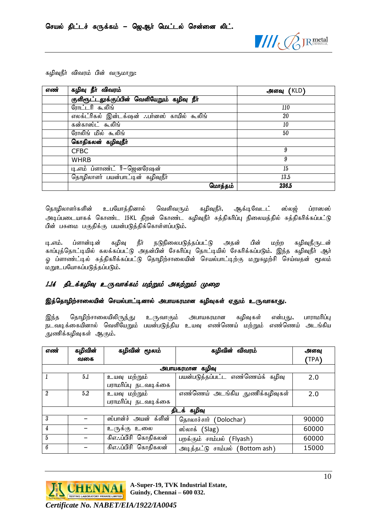

|  |  |  | கழிவுநீர் விவரம் பின் வருமாறு: |
|--|--|--|--------------------------------|
|--|--|--|--------------------------------|

| எண் | கழிவு நீா் விவரம்                           | அளவு (KLD) |
|-----|---------------------------------------------|------------|
|     | குளிரூட்டலுக்குப்பின் வெளியேறும் கழிவு நீா் |            |
|     | ரோட்டரி கூலிங்                              | 110        |
|     | எலக்ட்ரிகல் இன்டக்ஷன் பர்னஸ் காயில் கூலிங்  | 20         |
|     | கன்காஸ்ட் கூலிங்                            | 10         |
|     | ரோலிங் மில் கூலிங்                          | 50         |
|     | கொதிகலன் கழிவுநீர்                          |            |
|     | <b>CFBC</b>                                 | 9          |
|     | <b>WHRB</b>                                 | 9          |
|     | டி.எம் ப்ளாண்ட் ரீ–ஜெனரேஷன்                 | 15         |
|     | தொழிலாளர் பயன்பாட்டின் கழிவுநீர்            | 13.5       |
|     | மொத்தம்                                     | 236.5      |

தொழிலாளர்களின் உபயோத்தினால் வெளிவரும் கழிவுநீர், ஆக்டிவேடட் ஸ்லஜ் ப்ராஸஸ் அடிப்படையாகக் கொண்ட 15KL திறன் கொண்ட கழிவுநீர் சுத்திகரிப்பு நிலையத்தில் சுத்திகரிக்கப்பட்டு பின் பசுமை பகுதிக்கு பயன்படுத்திக்கொள்ளப்படும்.

டி.எம். ப்ளான்டின் கழிவு நீர் நடுநிலைபடுத்தப்பட்டு அதன் பின் மற்ற கழிவுநீருடன் காப்புத்தொட்டியில் கலக்கப்பட்டு அதன்பின் சேகரிப்பு தொட்டியில் சேகரிக்கப்படும். இந்த கழிவுநீர் ஆர் <u>ஒ</u> ப்ளாண்ட்டில் சுத்திகரிக்கப்பட்டு தொழிற்சாலையின் செயல்பாட்டிற்கு மறுசுழற்சி செய்வதன் மூலம் மறுஉபயோகப்படுத்தப்படும்.

# <span id="page-11-0"></span>1.14 திடக்கழிவு உருவாக்கம் மற்றும் அகற்றும் முறை

#### இத்தொழிற்சாலையின் செயல்பாட்டினால் அபாயகரமான கழிவுகள் ஏதும் உருவாகாது.

இந்த தொழிற்சாலையிலிருந்து உருவாகும் அபாயகரமான கழிவுகள் என்பது, பாராமரிப்பு நடவடிக்கையினால் வெளியேறும் பயன்படுத்திய உயவு எண்ணெய் மற்றும் எண்ணெய் அடங்கிய துணிக்கழிவுகள் ஆகும்.

| எண்            | கழிவின் | கழிவின் மூலம்        | கழிவின் விவரம்                   | அளவு  |
|----------------|---------|----------------------|----------------------------------|-------|
|                | வகை     |                      |                                  | (TPA) |
|                |         |                      | அபாயகரமான கழிவு                  |       |
|                | 5.1     | உயவு மற்றும்         | பயன்படுத்தப்பட்ட எண்ணெய்க் கழிவு | 2.0   |
|                |         | பராமரிப்பு நடவடிக்கை |                                  |       |
| $\mathfrak{p}$ | 5.2     | உயவு மற்றும்         | எண்ணெய் அடங்கிய துணிக்கழிவுகள்   | 2.0   |
|                |         | பராமரிப்பு நடவடிக்கை |                                  |       |
|                |         |                      | திடக் கழிவு                      |       |
| 3              |         | ஸ்பான்ச் அயன் க்ளின் | தொலாச்சார் (Dolochar)            | 90000 |
| $\overline{4}$ |         | உருக்கு உலை          | ஸ்லாக் $(Slag)$                  | 60000 |
| 5              |         | கிஎ∴ப்பிசி கொதிகலன்  | பறக்கும் சாம்பல் (Flyash)        | 60000 |
| 6              |         | கிஎ∴ப்பிசி கொதிகலன்  | அடித்தட்டு சாம்பல் (Bottom ash)  | 15000 |

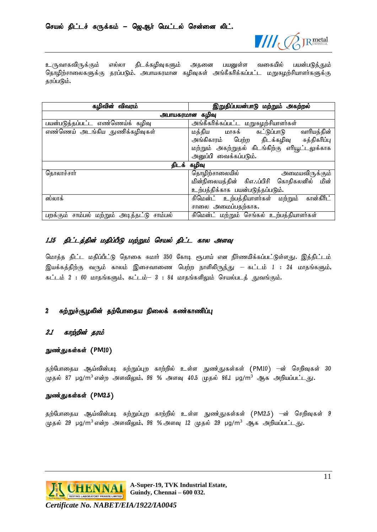

உருவாகவிருக்கும் எல்லா திடக்கழிவுகளும் அதனை பயனுள்ள வகையில் பயன்படுத்தும் தொழிற்சாலைகளுக்கு தரப்படும். அபாயகரமான கழிவுகள் அங்கீகரிக்கப்பட்ட மறுசுழற்சியாளர்களுக்கு தரப்படும்.

| இறுதிப்பயன்பாடு மற்றும் அகற்றல்<br>கழிவின் விவரம் |                                                           |  |  |
|---------------------------------------------------|-----------------------------------------------------------|--|--|
| அபாயகரமான கழிவு                                   |                                                           |  |  |
| பயன்படுத்தப்பட்ட எண்ணெய்க் கழிவு                  | அங்கீகரிக்கப்பட்ட மறுசுழற்சியாளர்கள்                      |  |  |
| எண்ணெய் அடங்கிய துணிக்கழிவுகள்                    | மத்திய<br>மாசுக்<br>வாரியத்தின்<br>கட்டுப்பாடு            |  |  |
|                                                   | அங்கிகாரம் பெற்ற திடக்கழிவு சுத்திகரிப்பு                 |  |  |
|                                                   | மற்றும் அகற்றுதல் கிடங்கிற்கு எரியூட்டலுக்காக             |  |  |
|                                                   | அனுப்பி வைக்கப்படும்.                                     |  |  |
| திடக் கழிவு                                       |                                                           |  |  |
| தொலாச்சார்                                        | தொழிற்சாலையில்<br>அமையவிருக்கு <b>ம்</b>                  |  |  |
|                                                   | மின்நிலையத்தின் சிஎ∴ப்பிசி கொதிகலனில் மின்                |  |  |
|                                                   | உற்பத்திக்காக பயன்படுத்தப்படும்.                          |  |  |
| ஸ்லாக்                                            | <u>கிமென்ட் உற்பத்தியாளர்கள்</u><br>கான்கிரீட்<br>மற்றும் |  |  |
|                                                   | சாலை அமைப்பதற்காக.                                        |  |  |
| சாம்பல்<br>சாம்பல் மற்றும் அடித்தட்டு<br>பறக்கும் | சிமென்ட் மற்றும் செங்கல் உற்பத்தியாளர்கள்                 |  |  |

#### <span id="page-12-0"></span>1.15 திட்டத்தின் மதிப்பீடு மற்றும் செயல் திட்ட கால அளவு

மொத்த திட்ட மதிப்பீட்டு தொகை சுமார் 350 கோடி ரூபாய் என நிர்ணயிக்கப்பட்டுள்ளது. இத்திட்டம் இயக்கத்திற்கு வரும் காலம் இசைவாணை பெற்ற நாளிலிருந்து — கட்டம்  $1$  : 24 மாதங்களும், கட்டம்  $2$  : 60 மாதங்களும், கட்டம்–  $3$  : 84 மாதங்களிலும் செயல்படத் துவங்கும்.

#### <span id="page-12-1"></span>2 சுற்றுச்சூழலின் தற்போதைய நிலைக் கண்காணிப்பு

#### <span id="page-12-2"></span>2.1 காற்றின் தரம்

#### நுண்துகள்கள் (PM10)

தற்போதைய ஆய்வின்படி சுற்றுப்புற காற்றில் உள்ள நுண்துகள்கள் (PM10) —ன் செறிவுகள் 30 முதல் 87 µg/m<sup>3</sup> என்ற அளவிலும், 98 % அளவு 40.5 முதல் 86.1 µg/m<sup>3</sup> ஆக அறியப்பட்டது.

#### நுண்துகள்கள் (PM2.5)

தற்போதைய ஆய்வின்படி சுற்றுப்புற காற்றில் உள்ள நுண்துகள்கள் (PM2.5) –ன் செறிவுகள் 9  $(\mu$ தல் 29 µg/m $^3$ என்ற அளவிலும், 98 % அளவு 12 முதல் 29 µg/m $^3$  ஆக அறியப்பட்டது.

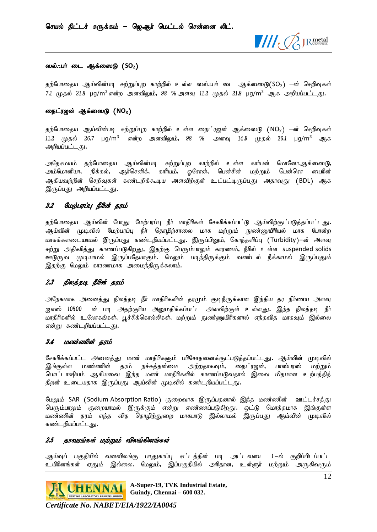

#### ஸல்.**:பா்** டை ஆக்ஸைடு (SO<sub>2</sub>)

தற்போதைய ஆய்வின்படி சுற்றுப்புற காற்றில் உள்ள ஸல்..பர் டை ஆக்ஸைடு $(SO<sub>2</sub>)$  –ன் செறிவுகள் 7.1 முதல் 21.8 µg/m<sup>3</sup> என்ற அளவிலும், 98 % அளவு 11.2 முதல் 21.8 µg/m<sup>3</sup> ஆக அறியப்பட்டது.

#### றைட்ரஜன் ஆக்ஸைடு (NO<sub>x</sub>)

தற்போதைய ஆய்வின்படி சுற்றுப்புற காற்றில் உள்ள நைட்ரஜன் ஆக்ஸைடு (NO<sub>x</sub>) –ன் செறிவுகள்  $11.2$  முதல்  $26.7$   $\mu$ g/m<sup>3</sup> என்ற அளவிலும்,  $98$  % அளவு  $14.9$  முதல்  $26.1$   $\mu$ g/m<sup>3</sup> ஆக அறியப்பட்டது**.** 

அதேசமயம் தற்போதைய ஆய்வின்படி சுற்றுப்புற காற்றில் உள்ள கார்பன் மோனோஆக்ஸைடு, அம்மோனியா, நிக்கல், ஆர்செனிக், காரீயம், ஒசோன், பென்சின் மற்றும் பென்சொ பைரின் ஆகியவற்றின் செறிவுகள் கண்டறிக்கூடிய அளவிற்குள் உட்பட்டிருப்பது அதாவது (BDL) ஆக இருப்பது அறியப்பட்டது.

#### <span id="page-13-0"></span>2.2 மேற்பரப்பு நீரின் தரம்

தற்போதைய ஆய்வின் போது மேற்பரப்பு நீர் மாதிரிகள் சேகரிக்கப்பட்டு ஆய்விற்குட்படுத்தப்பட்டது. ஆய்வின் முடிவில் மேற்பரப்பு நீர் தொழிற்சாலை மாசு மற்றும் நுண்ணுயிரியல் மாசு போன்ற மாசுக்களடையாமல் இருப்பது கண்டறியப்பட்டது. இருப்பினும், கொந்தளிப்பு (Turbidity)–ன் அளவு சற்று அதிகரித்து காணப்படுகிறது, இதற்கு பெரும்பாலும் காரணம், நீரில் உள்ள suspended solids ஊடுருவ முடியாமல் இருப்பதேயாகும். மேலும் படிந்திருக்கும் வண்டல் நீக்காமல் இருப்பதும் இதற்கு மேலும் காரணமாக அமைந்திருக்கலாம்.

# <span id="page-13-1"></span>2.3 நிலத்தடி நீரின் தரம்

அநேகமாக அனைத்து நிலத்தடி நீர் மாதிரிகளின் தரமும் குடிநீருக்கான இந்திய தர நிர்ணய அளவு ஐஎஸ் 10500 –ன் படி அதற்குரிய அனுமதிக்கப்பட்ட அளவிற்குள் உள்ளது. இந்த நிலத்தடி நீர் மாதிரிகளில் உலோகங்கள், பூச்சிக்கொல்லிகள், மற்றும் நுண்ணுயிரிகளால் எந்தவித மாசுவும் இல்லை என்று கண்டறியப்பட்டது**.** 

#### <span id="page-13-2"></span>2.4 மண்ணின் தரம்

சேகரிக்கப்பட்ட அனைத்து மண் மாதிரிகளும் பரிசோதனைக்குட்படுத்தப்பட்டது. ஆய்வின் முடிவில் இங்குள்ள மண்ணின் தரம் நச்சுத்தன்மை அற்றதாகவும், நைட்ரஜன், பாஸ்பரஸ் மற்றும் பொட்டாஷியம் ஆகியவை இந்த மண் மாதிரிகளில் காணப்படுவதால் இவை மிதமான உற்பத்தித் திறன் உடையதாக இருப்பது ஆய்வின் முடிவில் கண்டறியப்பட்டது.

மேலும் SAR (Sodium Absorption Ratio) குறைவாக இருப்பதனால் இந்த மண்ணின் ஊட்டச்சத்து பெரும்பாலும் குறையாமல் இருக்கும் என்று எண்ணப்படுகிறது. ஒட்டு மொத்தமாக இங்குள்ள மண்ணின் தரம் எந்த வித தொழிற்துறை மாசுபாடு இல்லாமல் இருப்பது ஆய்வின் முடிவில் கண்டறியப்பட்டது**.** 

#### <span id="page-13-3"></span>2.5 தாவரங்கள் மற்றும் விலங்கினங்கள்

ஆய்வுப் பகுதியில் வனவிலங்கு பாதுகாப்பு சட்டத்தின் படி அட்டவடை 1–ல் குறிப்பிடப்பட்ட உயிிினங்கள் ஏதும் இல்லை. மேலும், இப்பகுதியில் அரிதான, உள்ளூர் மற்றும் அருகிவரும்



**A-Super-19, TVK Industrial Estate, Guindy, Chennai – 600 032.**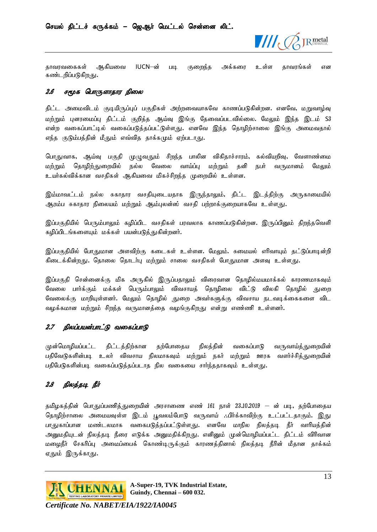

தாவரவகைகள் ஆகியவை IUCN–ன் படி குறைந்த அக்கரை உள்ள தாவரங்கள் என கண்டறிப்படுகிறது.

#### <span id="page-14-0"></span>2.6 சமூக பொருளாதார நிலை

திட்ட அமைவிடம் குடியிருப்புப் பகுதிகள் அற்றவையாகவே காணப்படுகின்றன. எனவே, மறுவாழ்வு மற்றும் புனரமைப்பு திட்டம் குறித்த ஆய்வு இங்கு தேவைப்படவில்லை. மேலும் இந்த இடம் S3 என்ற வகைப்பாட்டில் வகைப்படுத்தப்பட்டுள்ளது. எனவே இந்த தொழிற்சாலை இங்கு அமைவதால் எந்த குடும்பத்தின் மீதும் எவ்வித தாக்கமும் ஏற்படாது.

பொதுவாக, ஆய்வு பகுதி முழுவதும் சிறந்த பாலின விகிதாச்சாரம், கல்வியறிவு, வேளாண்மை மற்றும் தொழிற்துறையில் நல்ல வேலை வாய்ப்பு மற்றும் தனி நபர் வருமானம் மேலும் உயர்கல்விக்கான வசதிகள் ஆகியவை மிகச்சிறந்த முறையில் உள்ளன.

இம்மாவட்டம் நல்ல சுகாதார வசதியுடையதாக இருந்தாலும், திட்ட இடத்திற்கு அருகாமையில் ஆரம்ப சுகாதார நிலையம் மற்றும் ஆம்புலன்ஸ் வசதி பற்றாக்குறையாகவே உள்ளது.

இப்பகுதியில் பெரும்பாலும் கழிப்பிட வசதிகள் பரவலாக காணப்படுகின்றன. இருப்பினும் திறந்தவெளி கழிப்பிடங்களையும் மக்கள் பயன்படுக்குுகின்றனர்.

இப்பகுதியில் போதுமான அளவிற்கு கடைகள் உள்ளன. மேலும். சுமையல் எரிவாயும் தட்டுப்பாடின்றி கிடைக்கின்றது. தொலை தொடர்பு மற்றும் சாலை வசதிகள் ப<u>ோத</u>ுமான அளவு உள்ளது.

இப்பகுதி சென்னைக்கு மிக அருகில் இருப்பதாலும் விரைவான தொழில்மயமாக்கல் காரணமாகவும் வேலை பார்க்கும் மக்கள் பெரும்பாலும் விவசாயத் தொழிலை விட்டு விலகி தொழில் துறை வேலைக்கு மாறியுள்ளனர். மேலும் தொழில் துறை அவர்களுக்கு விவசாய நடவடிக்கைகளை விட வழக்கமான மற்றும் சிறந்த வருமானத்தை வழங்குகிறது என்று எண்ணி உள்ளனர்.

# <span id="page-14-1"></span>2.7 நிலப்பயன்பாட்டு வகைப்பாடு

முன்மொழியப்பட்ட திட்டத்திற்கான தற்போதைய நிலத்தின் வகைப்பாடு வருவாய்த்துறையின் பதிவேடுகளின்படி உலர் விவசாய நிலமாகவும் மற்றும் நகர் மற்றும் ஊரக வளர்ச்சித்துறையின் பதிபேடுகளின்படி வகைப்படுத்தப்படாத நில வகையை சார்ந்ததாகவும் உள்ளது.

# <span id="page-14-2"></span> $2.8$  நிலக்கடி நீர்

தமிழகத்தின் பொதுப்பணித்துறையின் அரசாணை எண் 161 நாள் 23.10.2019 — ன் படி, தற்போதைய தொழிற்சாலை அமையவுள்ள இடம் பூவலம்போடு வருவாய் ..பிர்க்காவிற்கு உட்பட்டதாகும். இது பாதுகாப்பான மண்டலமாக வகைபடுத்தப்பட்டுள்ளது. எனவே மாநில நிலத்தடி நீர் வாரியத்தின் அனுமதியுடன் நிலத்தடி நீரை எடுக்க அனுமதிக்கிறது. எனினும் முன்மொழியப்பட்ட திட்டம் விரிவான மழைநீர் சேகரிப்பு அமைப்பைக் கொண்டிருக்கும் காரணத்தினால் நிலத்தடி நீரின் மீதான தாக்கம் <u>ஏக</u>ும் இருக்காது.

**GHENNAI** <sup>A-Super-19, 1 v **A** muustran</sup>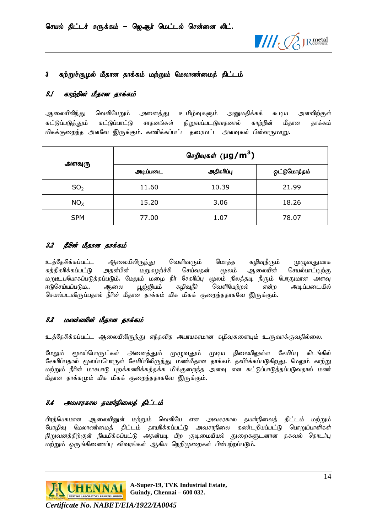

# <span id="page-15-0"></span>3 சுற்றுச்சூழல் மீதான தாக்கம் மற்றும் மேலாண்மைத் திட்டம்

# <span id="page-15-1"></span>3.1 காற்றின் மீதான தாக்கம்

ஆலையிலிந்து வெளியேறும் அனைத்து உமிழ்வுகளும் அனுமதிக்கக் கூடிய அளவிற்குள் கட்டுப்படுத்தும் கட்டுப்பாட்டு சாதனங்கள் நிறுவப்படடுவதனால் காற்றின் மீதான தாக்கம் மிகக்குறைந்த அளவே இருக்கும். கணிக்கப்பட்ட தரைமட்ட அளவுகள் பின்வருமாறு.

|                 | செறிவுகள் (µg/m <sup>3</sup> ) |            |              |
|-----------------|--------------------------------|------------|--------------|
| அளவுரு          | அடிப்படை                       | அதிகரிப்பு | ஒட்டுமொத்தம் |
| SO <sub>2</sub> | 11.60                          | 10.39      | 21.99        |
| NO <sub>x</sub> | 15.20                          | 3.06       | 18.26        |
| <b>SPM</b>      | 77.00                          | 1.07       | 78.07        |

# <span id="page-15-2"></span>3.2 நீரின் மீதான தாக்கம்

உத்தேசிக்கப்பட்ட ஆலையிலிருந்து வெளிவரும் மொத்த கழிவுநீரும் முழுவதுமாக சுத்திகரிக்கப்பட்டு அதன்பின் மறுசுழற்ச்சி செய்வதன் மூலம் ஆலையின் செயல்பாட்டிற்கு மறுஉபயோகப்படுத்தப்படும். மேலும் மழை நீர் சேகரிப்பு மூலம் நிலத்தடி நீரும் போதுமான அளவு ஈடுசெய்யப்படும... ஆலை பூஜ்ஜியம் கழிவுநீர் வெளியேற்றல் என்ற அடிப்படையில் செயல்படவிருப்பதால் நீரின் மீதான தாக்கம் மிக மிகக் குறைந்ததாகவே இருக்கும்.

# <span id="page-15-3"></span>3.3 மண்ணின் மீதான தாக்கம்

உத்தேசிக்கப்பட்ட ஆலையிலிருந்து எந்தவித அபாயகரமான கழிவுகளையும் உருவாக்குவதில்லை.

மேலும் மூலப்பொருட்கள் அனைத்தும் முழுவதும் முடிய நிலையிலுள்ள சேமிப்பு கிடங்கில் சேகரிப்பதால் மூலப்பபொருள் சேமிப்பிலிருந்து மண்மீதான தாக்கம் தவிர்க்கப்படுகிறது. மேலும் காற்று மற்றும் நீரின் மாசுபாடு புறக்கணிக்கத்தக்க மிக்குறைந்த அளவு என கட்டுப்பாடுத்தப்படுவதால் மண் மீதான தாக்கமும் மிக மிகக் குறைந்ததாகவே இருக்கும்.

# <span id="page-15-4"></span>3.4 அவசரகால தயார்நிலைத் திட்டம்

பிரத்யேகமான ஆலையினுள் மற்றும் வெளியே என அவசரகால தயாா்நிலைத் திட்டம் மற்றும் பேரழிவு மேலாண்மைத் திட்டம் தாயரிக்கப்பட்டு அவசரநிலை கண்டறியப்பட்டு பொறுப்பாளிகள் நிறுவனத்திற்குள் நியமிக்கப்பட்டு அதன்படி பிற குடிமையியல் துறைகளுடனான தகவல் தொடர்பு மற்றும் ஒருங்கிணைப்பு விவரங்கள் ஆகிய நெறிமுறைகள் பின்பற்றப்படும்.

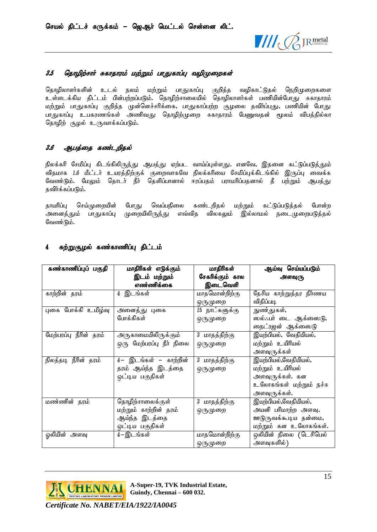

# <span id="page-16-0"></span>3.5 தொழிற்சார் சுகாதாரம் மற்றும் பாதுகாப்பு வழிமுறைகள்

தொழிலாளர்களின் உடல் நலம் மற்றும் பாதுகாப்பு குறித்த வழிகாட்டுதல் நெறிமுறைகளை உள்ளடக்கிய திட்டம் பின்பற்றப்படும். தொழிற்சாலையில் தொழிலாளர்கள் பணியின்போது சுகாதாரம் மற்றும் பாதுகாப்பு குறித்த முன்னெச்சரிக்கை, பாதுகாப்பற்ற சூழலை தவிர்ப்பது, பணியின் போ<u>த</u>ு <u>பாது</u>காப்பு உபகரணங்கள் அணிவது தொழிற்முறை சுகாதாரம் பேணுவதன் மூலம் விபத்தில்லா தொழிற் சூழல் உருவாக்கப்படும்.

# <span id="page-16-1"></span>3.6 ஆபத்தை கண்டறிதல்

நிலக்கரி சேமிப்பு கிடங்கிலிருந்து ஆபத்து ஏற்பட வாய்ப்புள்ளது. எனவே, இதனை கட்டுப்படுத்தும் விதமாக 1.6 மீட்டர் உயரத்திற்குக் குறைவாகவே நிலக்கரியை சேமிப்புக்கிடங்கில் இருப்பு வைக்க வேண்டும். மேலும் தொடர் நீர் தெளிப்பானால் ஈரப்பதம் பராமரிப்பதனால் தீ பற்றும் ஆபத்து தவிர்க்கப்படும்.

காயரிப்ப செய்முறையின் போகு வெப்பநிலை கண்டறிகல் மற்றும் கட்டுப்படுக்கல் போன்ற அனை<u>த்த</u>ும் பாதுகாப்பு முறையிலிருந்து எவ்வித விலகலும் இல்லாமல் நடைமுறைபடுத்தல் வேண்டும்.

| கண்காணிப்புப் பகுதி    | மாதிரிகள் எடுக்கும்        | மாதிரிகள்       | ஆய்வு செய்யப்படும்      |
|------------------------|----------------------------|-----------------|-------------------------|
|                        | இடம் மற்றும்               | சேகரிக்கும் கால | அளவுரு                  |
|                        | எண்ணிக்கை                  | இடைவெளி         |                         |
| காற்றின் தரம்          | இடங்கள்<br>4               | மாதமொன்றிற்கு   | தேசிய காற்றுத்தர நிர்ணய |
|                        |                            | ஒருமுறை         | விதிப்படி               |
| புகை போக்கி உமிழ்வு    | அனைத்து புகை               | 15 நாட்களுக்கு  | நுண்துகள்,              |
|                        | போக்கிகள்                  | ஒருமுறை         | ஸல்∴பர் டை ஆக்ஸைடு,     |
|                        |                            |                 | நைட்ரஜன் ஆக்ஸைடு        |
| மேற்பரப்பு நீரின் தரம் | <u>அருகாமையிலிருக்கும்</u> | 3 மாதத்திற்கு   | இயற்பியல், வேதியியல்,   |
|                        | ஒரு மேற்பரப்பு நீர் நிலை   | ஒருமுறை         | மற்றும் உயிரியல்        |
|                        |                            |                 | அளவுருக்கள்             |
| நிலத்தடி நீரின் தரம்   | 4– இடங்கள் – காற்றின்      | 3 மாதத்திற்கு   | இயற்பியல்,வேதியியல்,    |
|                        | தரம் ஆய்ந்த இடத்தை         | ஒருமுறை         | மற்றும் உயிரியல்        |
|                        | ஒட்டிய பகுதிகள்            |                 | அளவுருக்கள். கன         |
|                        |                            |                 | உலோகங்கள் மற்றும் நச்சு |
|                        |                            |                 | அளவுருக்கள்.            |
| மண்ணின் தரம்           | தொழிற்சாலைக்குள்           | 3 மாதத்திற்கு   | இயற்பியல்,வேதியியல்,    |
|                        | மற்றும் காற்றின் தரம்      | ஒருமுறை         | அயனி பரிமாற்ற அளவு,     |
|                        | ஆய்ந்த இடத்தை              |                 | ஊடுருவக்கூடிய தன்மை,    |
|                        | ஒட்டிய பகுதிகள்            |                 | மற்றும் கன உலோகங்கள்.   |
| ஓலியின் அளவு           | 4–இடங்கள்                  | மாதமொன்றிற்கு   | ஒலியின் நிலை (டெசிபெல்  |
|                        |                            | ஒருமுறை         | அளவுகளில் )             |

# <span id="page-16-2"></span>4 சுற்றுசூழல் கண்காணிப்பு திட்டம்